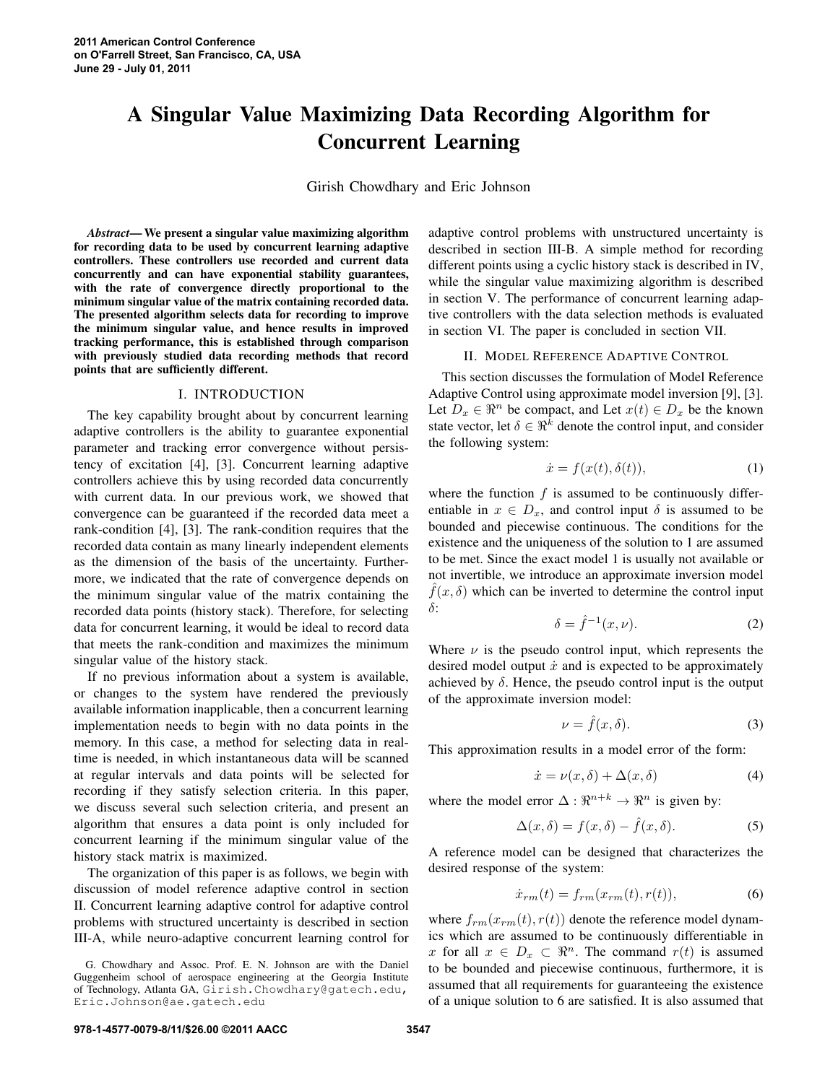# A Singular Value Maximizing Data Recording Algorithm for Concurrent Learning

Girish Chowdhary and Eric Johnson

*Abstract*— We present a singular value maximizing algorithm for recording data to be used by concurrent learning adaptive controllers. These controllers use recorded and current data concurrently and can have exponential stability guarantees, with the rate of convergence directly proportional to the minimum singular value of the matrix containing recorded data. The presented algorithm selects data for recording to improve the minimum singular value, and hence results in improved tracking performance, this is established through comparison with previously studied data recording methods that record points that are sufficiently different.

## I. INTRODUCTION

The key capability brought about by concurrent learning adaptive controllers is the ability to guarantee exponential parameter and tracking error convergence without persistency of excitation [4], [3]. Concurrent learning adaptive controllers achieve this by using recorded data concurrently with current data. In our previous work, we showed that convergence can be guaranteed if the recorded data meet a rank-condition [4], [3]. The rank-condition requires that the recorded data contain as many linearly independent elements as the dimension of the basis of the uncertainty. Furthermore, we indicated that the rate of convergence depends on the minimum singular value of the matrix containing the recorded data points (history stack). Therefore, for selecting data for concurrent learning, it would be ideal to record data that meets the rank-condition and maximizes the minimum singular value of the history stack.

If no previous information about a system is available, or changes to the system have rendered the previously available information inapplicable, then a concurrent learning implementation needs to begin with no data points in the memory. In this case, a method for selecting data in realtime is needed, in which instantaneous data will be scanned at regular intervals and data points will be selected for recording if they satisfy selection criteria. In this paper, we discuss several such selection criteria, and present an algorithm that ensures a data point is only included for concurrent learning if the minimum singular value of the history stack matrix is maximized.

The organization of this paper is as follows, we begin with discussion of model reference adaptive control in section II. Concurrent learning adaptive control for adaptive control problems with structured uncertainty is described in section III-A, while neuro-adaptive concurrent learning control for

G. Chowdhary and Assoc. Prof. E. N. Johnson are with the Daniel Guggenheim school of aerospace engineering at the Georgia Institute of Technology, Atlanta GA, Girish.Chowdhary@gatech.edu, Eric.Johnson@ae.gatech.edu

adaptive control problems with unstructured uncertainty is described in section III-B. A simple method for recording different points using a cyclic history stack is described in IV, while the singular value maximizing algorithm is described in section V. The performance of concurrent learning adaptive controllers with the data selection methods is evaluated in section VI. The paper is concluded in section VII.

### II. MODEL REFERENCE ADAPTIVE CONTROL

This section discusses the formulation of Model Reference Adaptive Control using approximate model inversion [9], [3]. Let  $D_x \in \mathbb{R}^n$  be compact, and Let  $x(t) \in D_x$  be the known state vector, let  $\delta \in \Re^k$  denote the control input, and consider the following system:

$$
\dot{x} = f(x(t), \delta(t)),\tag{1}
$$

where the function  $f$  is assumed to be continuously differentiable in  $x \in D_x$ , and control input  $\delta$  is assumed to be bounded and piecewise continuous. The conditions for the existence and the uniqueness of the solution to 1 are assumed to be met. Since the exact model 1 is usually not available or not invertible, we introduce an approximate inversion model  $\hat{f}(x, \delta)$  which can be inverted to determine the control input δ:

$$
\delta = \hat{f}^{-1}(x,\nu). \tag{2}
$$

Where  $\nu$  is the pseudo control input, which represents the desired model output  $\dot{x}$  and is expected to be approximately achieved by  $\delta$ . Hence, the pseudo control input is the output of the approximate inversion model:

$$
\nu = \hat{f}(x,\delta). \tag{3}
$$

This approximation results in a model error of the form:

$$
\dot{x} = \nu(x,\delta) + \Delta(x,\delta) \tag{4}
$$

where the model error  $\Delta : \Re^{n+k} \to \Re^n$  is given by:

$$
\Delta(x,\delta) = f(x,\delta) - \hat{f}(x,\delta). \tag{5}
$$

A reference model can be designed that characterizes the desired response of the system:

$$
\dot{x}_{rm}(t) = f_{rm}(x_{rm}(t), r(t)),\tag{6}
$$

where  $f_{rm}(x_{rm}(t), r(t))$  denote the reference model dynamics which are assumed to be continuously differentiable in x for all  $x \in D_x \subset \mathbb{R}^n$ . The command  $r(t)$  is assumed to be bounded and piecewise continuous, furthermore, it is assumed that all requirements for guaranteeing the existence of a unique solution to 6 are satisfied. It is also assumed that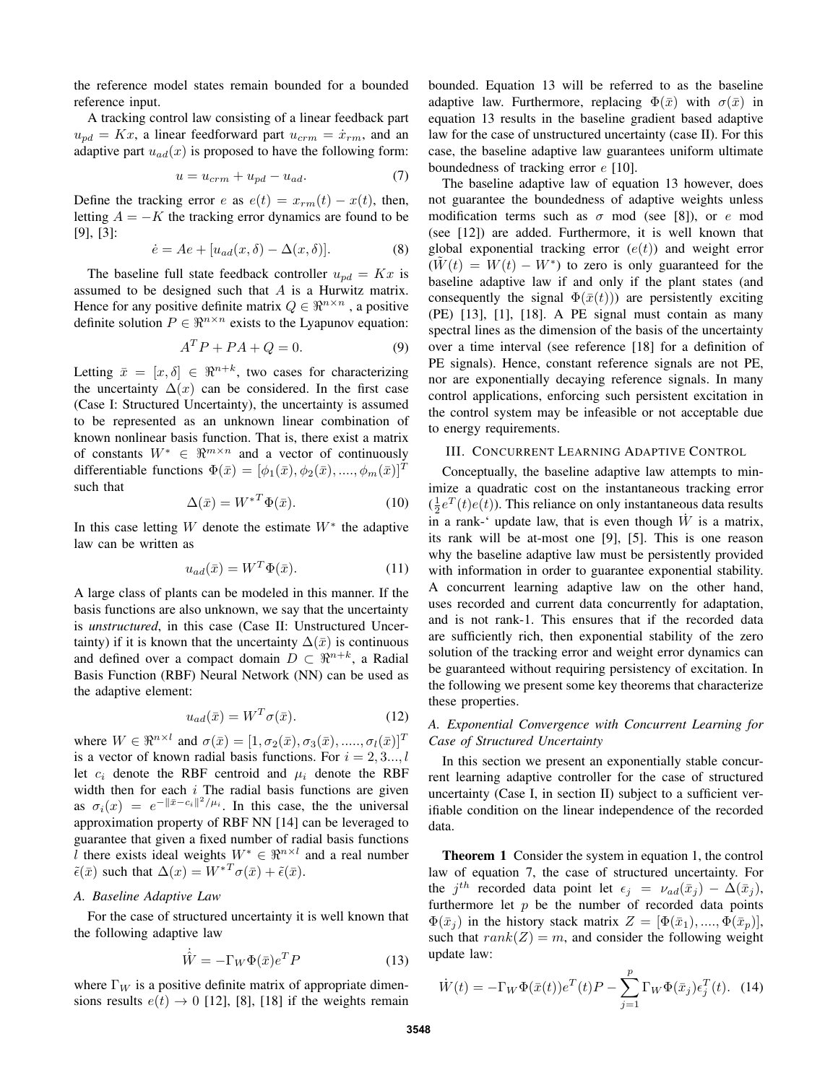the reference model states remain bounded for a bounded reference input.

A tracking control law consisting of a linear feedback part  $u_{pd} = Kx$ , a linear feedforward part  $u_{crm} = \dot{x}_{rm}$ , and an adaptive part  $u_{ad}(x)$  is proposed to have the following form:

$$
u = u_{crm} + u_{pd} - u_{ad}.\tag{7}
$$

Define the tracking error e as  $e(t) = x<sub>rm</sub>(t) - x(t)$ , then, letting  $A = -K$  the tracking error dynamics are found to be [9], [3]:

$$
\dot{e} = Ae + [u_{ad}(x,\delta) - \Delta(x,\delta)].
$$
\n(8)

The baseline full state feedback controller  $u_{nd} = Kx$  is assumed to be designed such that A is a Hurwitz matrix. Hence for any positive definite matrix  $Q \in \mathbb{R}^{n \times n}$ , a positive definite solution  $P \in \mathbb{R}^{n \times n}$  exists to the Lyapunov equation:

$$
A^T P + P A + Q = 0. \tag{9}
$$

Letting  $\bar{x} = [x, \delta] \in \Re^{n+k}$ , two cases for characterizing the uncertainty  $\Delta(x)$  can be considered. In the first case (Case I: Structured Uncertainty), the uncertainty is assumed to be represented as an unknown linear combination of known nonlinear basis function. That is, there exist a matrix of constants  $W^* \in \mathbb{R}^{m \times n}$  and a vector of continuously differentiable functions  $\Phi(\bar{x}) = [\phi_1(\bar{x}), \phi_2(\bar{x}), ..., \phi_m(\bar{x})]^T$ such that

$$
\Delta(\bar{x}) = W^{*T} \Phi(\bar{x}). \tag{10}
$$

In this case letting W denote the estimate  $W^*$  the adaptive law can be written as

$$
u_{ad}(\bar{x}) = W^T \Phi(\bar{x}). \tag{11}
$$

A large class of plants can be modeled in this manner. If the basis functions are also unknown, we say that the uncertainty is *unstructured*, in this case (Case II: Unstructured Uncertainty) if it is known that the uncertainty  $\Delta(\bar{x})$  is continuous and defined over a compact domain  $D \subset \Re^{n+k}$ , a Radial Basis Function (RBF) Neural Network (NN) can be used as the adaptive element:

$$
u_{ad}(\bar{x}) = W^T \sigma(\bar{x}). \tag{12}
$$

where  $W \in \mathbb{R}^{n \times l}$  and  $\sigma(\bar{x}) = [1, \sigma_2(\bar{x}), \sigma_3(\bar{x}), \dots, \sigma_l(\bar{x})]^T$ is a vector of known radial basis functions. For  $i = 2, 3, \ldots, l$ let  $c_i$  denote the RBF centroid and  $\mu_i$  denote the RBF width then for each  $i$  The radial basis functions are given as  $\sigma_i(x) = e^{-\|\bar{x} - c_i\|^2/\mu_i}$ . In this case, the the universal approximation property of RBF NN [14] can be leveraged to guarantee that given a fixed number of radial basis functions l there exists ideal weights  $W^* \in \mathbb{R}^{n \times l}$  and a real number  $\tilde{\epsilon}(\bar{x})$  such that  $\Delta(x) = W^{*T}\sigma(\bar{x}) + \tilde{\epsilon}(\bar{x})$ .

# *A. Baseline Adaptive Law*

For the case of structured uncertainty it is well known that the following adaptive law

$$
\dot{\hat{W}} = -\Gamma_W \Phi(\bar{x}) e^T P \tag{13}
$$

where  $\Gamma_W$  is a positive definite matrix of appropriate dimensions results  $e(t) \rightarrow 0$  [12], [8], [18] if the weights remain bounded. Equation 13 will be referred to as the baseline adaptive law. Furthermore, replacing  $\Phi(\bar{x})$  with  $\sigma(\bar{x})$  in equation 13 results in the baseline gradient based adaptive law for the case of unstructured uncertainty (case II). For this case, the baseline adaptive law guarantees uniform ultimate boundedness of tracking error e [10].

The baseline adaptive law of equation 13 however, does not guarantee the boundedness of adaptive weights unless modification terms such as  $\sigma$  mod (see [8]), or e mod (see [12]) are added. Furthermore, it is well known that global exponential tracking error  $(e(t))$  and weight error  $(W(t) = W(t) - W^*)$  to zero is only guaranteed for the baseline adaptive law if and only if the plant states (and consequently the signal  $\Phi(\bar{x}(t))$  are persistently exciting (PE) [13], [1], [18]. A PE signal must contain as many spectral lines as the dimension of the basis of the uncertainty over a time interval (see reference [18] for a definition of PE signals). Hence, constant reference signals are not PE, nor are exponentially decaying reference signals. In many control applications, enforcing such persistent excitation in the control system may be infeasible or not acceptable due to energy requirements.

## III. CONCURRENT LEARNING ADAPTIVE CONTROL

Conceptually, the baseline adaptive law attempts to minimize a quadratic cost on the instantaneous tracking error  $(\frac{1}{2}e^{T}(t)e(t))$ . This reliance on only instantaneous data results in a rank- $\cdot$  update law, that is even though  $\dot{W}$  is a matrix, its rank will be at-most one [9], [5]. This is one reason why the baseline adaptive law must be persistently provided with information in order to guarantee exponential stability. A concurrent learning adaptive law on the other hand, uses recorded and current data concurrently for adaptation, and is not rank-1. This ensures that if the recorded data are sufficiently rich, then exponential stability of the zero solution of the tracking error and weight error dynamics can be guaranteed without requiring persistency of excitation. In the following we present some key theorems that characterize these properties.

# *A. Exponential Convergence with Concurrent Learning for Case of Structured Uncertainty*

In this section we present an exponentially stable concurrent learning adaptive controller for the case of structured uncertainty (Case I, in section II) subject to a sufficient verifiable condition on the linear independence of the recorded data.

Theorem 1 Consider the system in equation 1, the control law of equation 7, the case of structured uncertainty. For the  $j^{th}$  recorded data point let  $\epsilon_j = \nu_{ad}(\bar{x}_j) - \Delta(\bar{x}_j)$ , furthermore let  $p$  be the number of recorded data points  $\Phi(\bar{x}_i)$  in the history stack matrix  $Z = [\Phi(\bar{x}_1), ..., \Phi(\bar{x}_p)],$ such that  $rank(Z) = m$ , and consider the following weight update law:

$$
\dot{W}(t) = -\Gamma_W \Phi(\bar{x}(t))e^T(t)P - \sum_{j=1}^p \Gamma_W \Phi(\bar{x}_j) \epsilon_j^T(t). \tag{14}
$$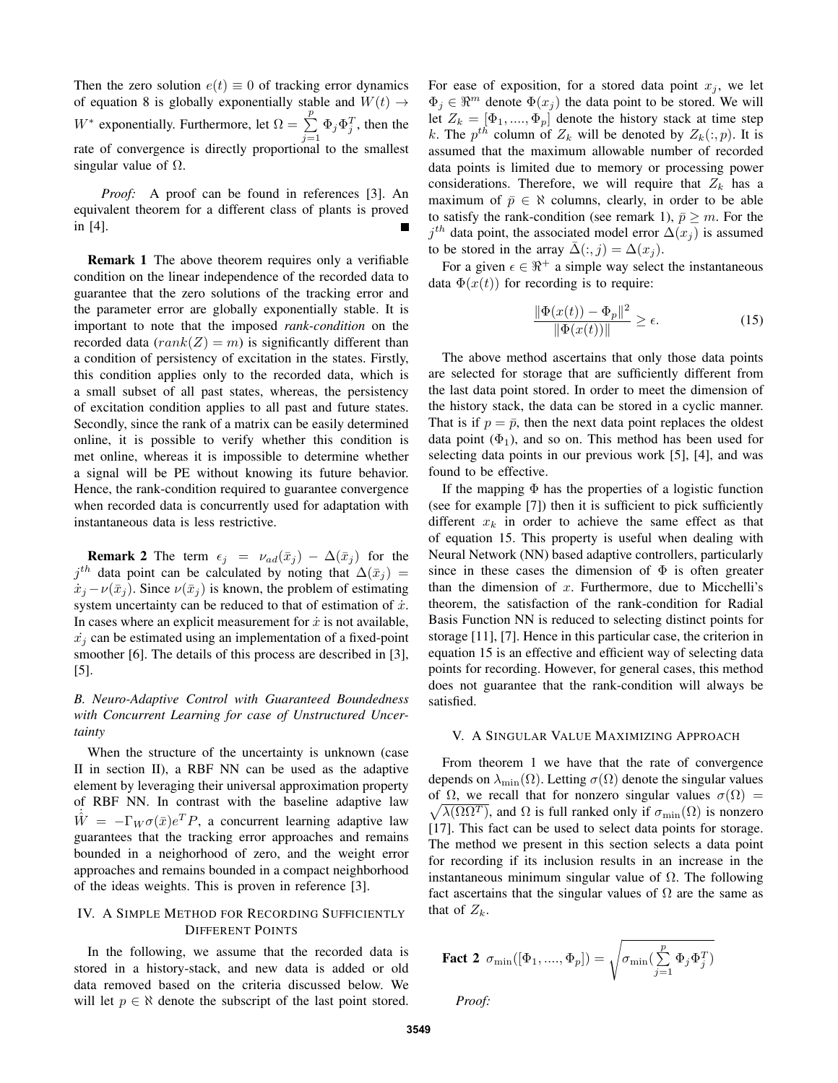Then the zero solution  $e(t) \equiv 0$  of tracking error dynamics of equation 8 is globally exponentially stable and  $W(t) \rightarrow$  $W^*$  exponentially. Furthermore, let  $\Omega = \sum^p$  $\sum_{j=1}^{6} \Phi_j \Phi_j^T$ , then the rate of convergence is directly proportional to the smallest singular value of  $\Omega$ .

*Proof:* A proof can be found in references [3]. An equivalent theorem for a different class of plants is proved in [4].

Remark 1 The above theorem requires only a verifiable condition on the linear independence of the recorded data to guarantee that the zero solutions of the tracking error and the parameter error are globally exponentially stable. It is important to note that the imposed *rank-condition* on the recorded data  $(rank(Z) = m)$  is significantly different than a condition of persistency of excitation in the states. Firstly, this condition applies only to the recorded data, which is a small subset of all past states, whereas, the persistency of excitation condition applies to all past and future states. Secondly, since the rank of a matrix can be easily determined online, it is possible to verify whether this condition is met online, whereas it is impossible to determine whether a signal will be PE without knowing its future behavior. Hence, the rank-condition required to guarantee convergence when recorded data is concurrently used for adaptation with instantaneous data is less restrictive.

**Remark 2** The term  $\epsilon_j = \nu_{ad}(\bar{x}_j) - \Delta(\bar{x}_j)$  for the  $j^{th}$  data point can be calculated by noting that  $\Delta(\bar{x}_j)$  =  $\dot{x}_j - \nu(\bar{x}_j)$ . Since  $\nu(\bar{x}_j)$  is known, the problem of estimating system uncertainty can be reduced to that of estimation of  $\dot{x}$ . In cases where an explicit measurement for  $\dot{x}$  is not available,  $\dot{x}_i$  can be estimated using an implementation of a fixed-point smoother [6]. The details of this process are described in [3], [5].

*B. Neuro-Adaptive Control with Guaranteed Boundedness with Concurrent Learning for case of Unstructured Uncertainty*

When the structure of the uncertainty is unknown (case II in section II), a RBF NN can be used as the adaptive element by leveraging their universal approximation property of RBF NN. In contrast with the baseline adaptive law  $\dot{\hat{W}} = -\Gamma_W \sigma(\bar{x})e^T P$ , a concurrent learning adaptive law guarantees that the tracking error approaches and remains bounded in a neighorhood of zero, and the weight error approaches and remains bounded in a compact neighborhood of the ideas weights. This is proven in reference [3].

# IV. A SIMPLE METHOD FOR RECORDING SUFFICIENTLY DIFFERENT POINTS

In the following, we assume that the recorded data is stored in a history-stack, and new data is added or old data removed based on the criteria discussed below. We will let  $p \in \mathbb{N}$  denote the subscript of the last point stored.

For ease of exposition, for a stored data point  $x_i$ , we let  $\Phi_j \in \mathbb{R}^m$  denote  $\Phi(x_j)$  the data point to be stored. We will let  $Z_k = [\Phi_1, ..., \Phi_p]$  denote the history stack at time step k. The  $p^{th}$  column of  $Z_k$  will be denoted by  $Z_k(:, p)$ . It is assumed that the maximum allowable number of recorded data points is limited due to memory or processing power considerations. Therefore, we will require that  $Z_k$  has a maximum of  $\bar{p} \in \aleph$  columns, clearly, in order to be able to satisfy the rank-condition (see remark 1),  $\bar{p} \geq m$ . For the  $j^{th}$  data point, the associated model error  $\Delta(x_j)$  is assumed to be stored in the array  $\bar{\Delta}(:, j) = \Delta(x_i)$ .

For a given  $\epsilon \in \mathbb{R}^+$  a simple way select the instantaneous data  $\Phi(x(t))$  for recording is to require:

$$
\frac{\|\Phi(x(t)) - \Phi_p\|^2}{\|\Phi(x(t))\|} \ge \epsilon.
$$
\n(15)

The above method ascertains that only those data points are selected for storage that are sufficiently different from the last data point stored. In order to meet the dimension of the history stack, the data can be stored in a cyclic manner. That is if  $p = \bar{p}$ , then the next data point replaces the oldest data point  $(\Phi_1)$ , and so on. This method has been used for selecting data points in our previous work [5], [4], and was found to be effective.

If the mapping  $\Phi$  has the properties of a logistic function (see for example [7]) then it is sufficient to pick sufficiently different  $x_k$  in order to achieve the same effect as that of equation 15. This property is useful when dealing with Neural Network (NN) based adaptive controllers, particularly since in these cases the dimension of  $\Phi$  is often greater than the dimension of  $x$ . Furthermore, due to Micchelli's theorem, the satisfaction of the rank-condition for Radial Basis Function NN is reduced to selecting distinct points for storage [11], [7]. Hence in this particular case, the criterion in equation 15 is an effective and efficient way of selecting data points for recording. However, for general cases, this method does not guarantee that the rank-condition will always be satisfied.

## V. A SINGULAR VALUE MAXIMIZING APPROACH

From theorem 1 we have that the rate of convergence depends on  $\lambda_{\min}(\Omega)$ . Letting  $\sigma(\Omega)$  denote the singular values  $\sqrt{\lambda(\Omega\Omega^{T})}$ , and  $\Omega$  is full ranked only if  $\sigma_{\min}(\Omega)$  is nonzero of  $\Omega$ , we recall that for nonzero singular values  $\sigma(\Omega)$  = [17]. This fact can be used to select data points for storage. The method we present in this section selects a data point for recording if its inclusion results in an increase in the instantaneous minimum singular value of  $\Omega$ . The following fact ascertains that the singular values of  $\Omega$  are the same as that of  $Z_k$ .

**Fact 2** 
$$
\sigma_{\min}([\Phi_1, ..., \Phi_p]) = \sqrt{\sigma_{\min}(\sum_{j=1}^p \Phi_j \Phi_j^T)}
$$

*Proof:*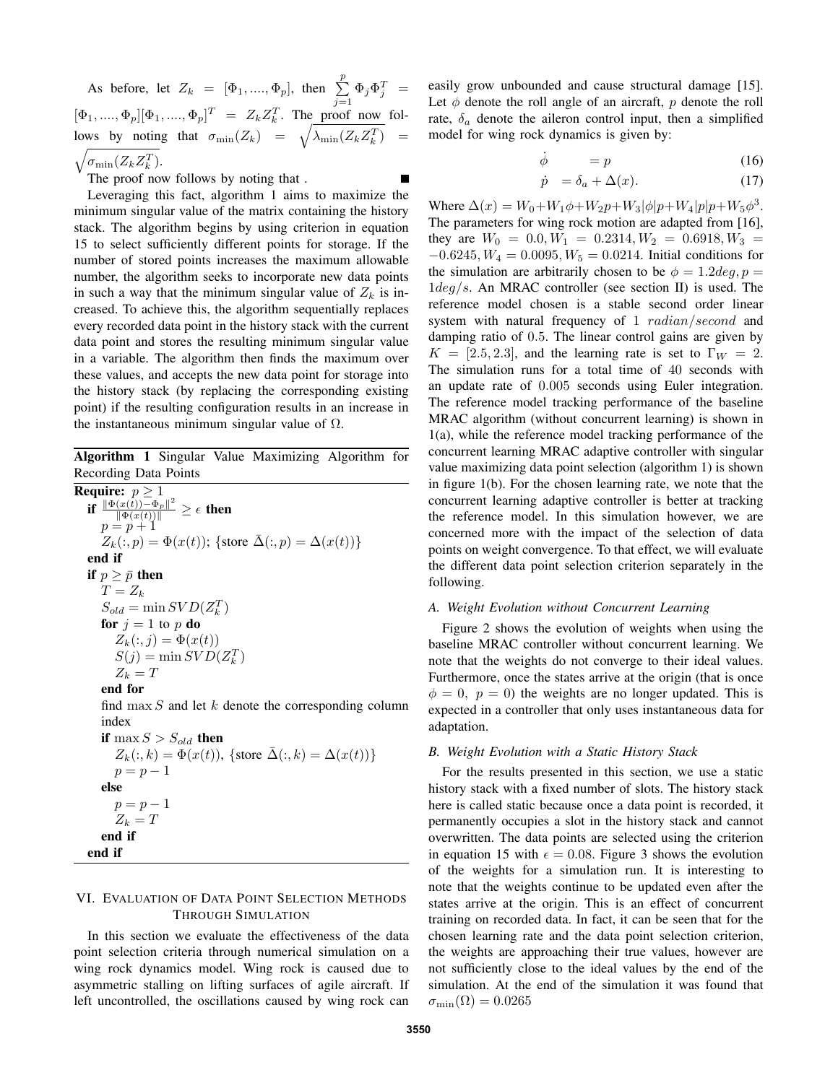As before, let  $Z_k = [\Phi_1, ..., \Phi_p]$ , then  $\sum_{j=1}^p \Phi_j \Phi_j^T =$  $[\Phi_1, ..., \Phi_p][\Phi_1, ..., \Phi_p]^T = Z_k Z_k^T$ . The proof now follows by noting that  $\sigma_{\min}(Z_k) = \sqrt{\lambda_{\min}(Z_k Z_k^T)}$  $\equiv$  $\sqrt{\sigma_{\min}(Z_k Z_k^T)}.$ 

The proof now follows by noting that .

Leveraging this fact, algorithm 1 aims to maximize the minimum singular value of the matrix containing the history stack. The algorithm begins by using criterion in equation 15 to select sufficiently different points for storage. If the number of stored points increases the maximum allowable number, the algorithm seeks to incorporate new data points in such a way that the minimum singular value of  $Z_k$  is increased. To achieve this, the algorithm sequentially replaces every recorded data point in the history stack with the current data point and stores the resulting minimum singular value in a variable. The algorithm then finds the maximum over these values, and accepts the new data point for storage into the history stack (by replacing the corresponding existing point) if the resulting configuration results in an increase in the instantaneous minimum singular value of  $\Omega$ .

Algorithm 1 Singular Value Maximizing Algorithm for Recording Data Points

```
Require: p > 1if \frac{\|\Phi(x(t)) - \Phi_p\|^2}{\|\Phi(x(t))\|} \ge \epsilon then
  p = p + 1Z_k(:, p) = \Phi(x(t)); {store \overline{\Delta}(:, p) = \Delta(x(t))}
end if
if p \geq \bar{p} then
   T = Z_kS_{old} = \min SVD(Z_k^T)for j = 1 to p do
      Z_k(:, j) = \Phi(x(t))S(j) = \min SVD(Z_k^T)Z_k = Tend for
   find \max S and let k denote the corresponding column
   index
   if \max S > S_{old} then
      Z_k(:, k) = \Phi(x(t)), {store \bar{\Delta}(:, k) = \Delta(x(t))}
```
 $p = p - 1$ else  $p = p - 1$  $\mathcal{Z}_k = T$ end if end if

# VI. EVALUATION OF DATA POINT SELECTION METHODS THROUGH SIMULATION

In this section we evaluate the effectiveness of the data point selection criteria through numerical simulation on a wing rock dynamics model. Wing rock is caused due to asymmetric stalling on lifting surfaces of agile aircraft. If left uncontrolled, the oscillations caused by wing rock can easily grow unbounded and cause structural damage [15]. Let  $\phi$  denote the roll angle of an aircraft, p denote the roll rate,  $\delta_a$  denote the aileron control input, then a simplified model for wing rock dynamics is given by:

$$
\dot{\phi} = p \tag{16}
$$

$$
\dot{p} = \delta_a + \Delta(x). \tag{17}
$$

Where  $\Delta(x) = W_0 + W_1 \phi + W_2 p + W_3 |\phi| p + W_4 |p| p + W_5 \phi^3$ . The parameters for wing rock motion are adapted from [16], they are  $W_0 = 0.0, W_1 = 0.2314, W_2 = 0.6918, W_3 =$  $-0.6245, W_4 = 0.0095, W_5 = 0.0214$ . Initial conditions for the simulation are arbitrarily chosen to be  $\phi = 1.2deg, p =$  $1deg/s$ . An MRAC controller (see section II) is used. The reference model chosen is a stable second order linear system with natural frequency of 1 radian/second and damping ratio of 0.5. The linear control gains are given by  $K = [2.5, 2.3]$ , and the learning rate is set to  $\Gamma_W = 2$ . The simulation runs for a total time of 40 seconds with an update rate of 0.005 seconds using Euler integration. The reference model tracking performance of the baseline MRAC algorithm (without concurrent learning) is shown in 1(a), while the reference model tracking performance of the concurrent learning MRAC adaptive controller with singular value maximizing data point selection (algorithm 1) is shown in figure 1(b). For the chosen learning rate, we note that the concurrent learning adaptive controller is better at tracking the reference model. In this simulation however, we are concerned more with the impact of the selection of data points on weight convergence. To that effect, we will evaluate the different data point selection criterion separately in the following.

#### *A. Weight Evolution without Concurrent Learning*

Figure 2 shows the evolution of weights when using the baseline MRAC controller without concurrent learning. We note that the weights do not converge to their ideal values. Furthermore, once the states arrive at the origin (that is once  $\phi = 0$ ,  $p = 0$ ) the weights are no longer updated. This is expected in a controller that only uses instantaneous data for adaptation.

## *B. Weight Evolution with a Static History Stack*

For the results presented in this section, we use a static history stack with a fixed number of slots. The history stack here is called static because once a data point is recorded, it permanently occupies a slot in the history stack and cannot overwritten. The data points are selected using the criterion in equation 15 with  $\epsilon = 0.08$ . Figure 3 shows the evolution of the weights for a simulation run. It is interesting to note that the weights continue to be updated even after the states arrive at the origin. This is an effect of concurrent training on recorded data. In fact, it can be seen that for the chosen learning rate and the data point selection criterion, the weights are approaching their true values, however are not sufficiently close to the ideal values by the end of the simulation. At the end of the simulation it was found that  $\sigma_{\min}(\Omega) = 0.0265$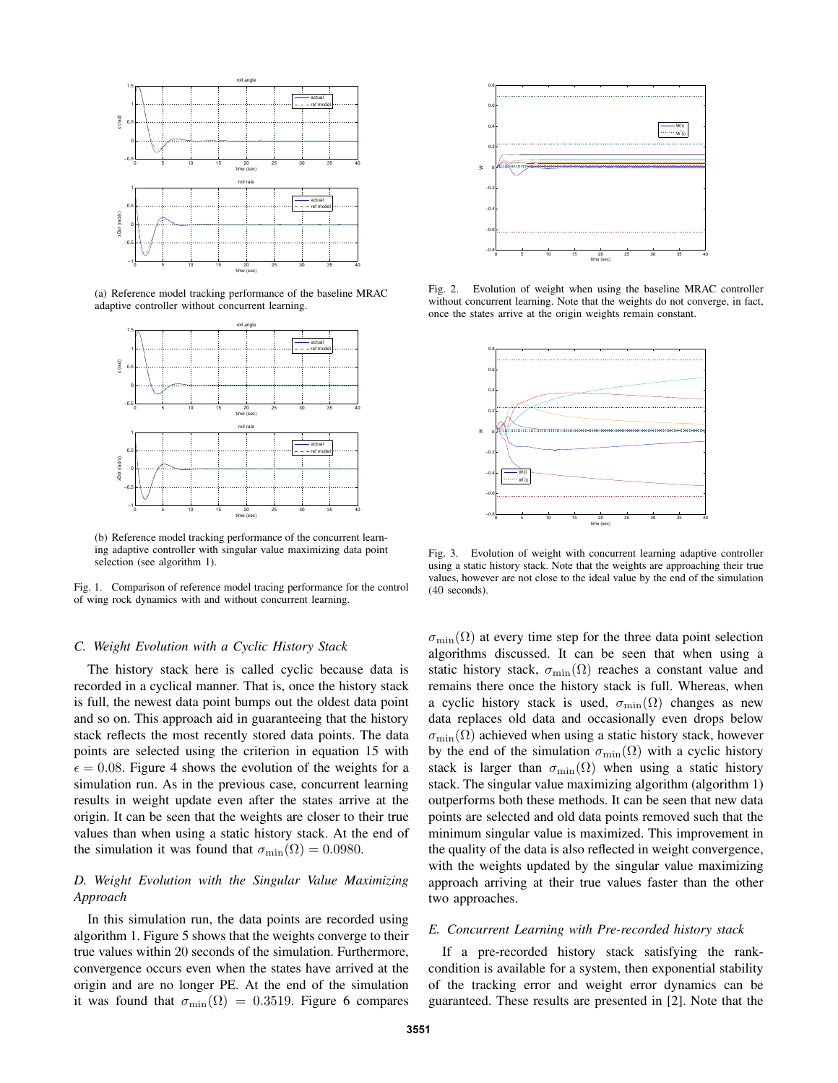

(a) Reference model tracking performance of the baseline MRAC adaptive controller without concurrent learning.



(b) Reference model tracking performance of the concurrent learning adaptive controller with singular value maximizing data point selection (see algorithm 1).

Fig. 1. Comparison of reference model tracing performance for the control of wing rock dynamics with and without concurrent learning.

## *C. Weight Evolution with a Cyclic History Stack*

The history stack here is called cyclic because data is recorded in a cyclical manner. That is, once the history stack is full, the newest data point bumps out the oldest data point and so on. This approach aid in guaranteeing that the history stack reflects the most recently stored data points. The data points are selected using the criterion in equation 15 with  $\epsilon = 0.08$ . Figure 4 shows the evolution of the weights for a simulation run. As in the previous case, concurrent learning results in weight update even after the states arrive at the origin. It can be seen that the weights are closer to their true values than when using a static history stack. At the end of the simulation it was found that  $\sigma_{\min}(\Omega) = 0.0980$ .

# *D. Weight Evolution with the Singular Value Maximizing Approach*

In this simulation run, the data points are recorded using algorithm 1. Figure 5 shows that the weights converge to their true values within 20 seconds of the simulation. Furthermore, convergence occurs even when the states have arrived at the origin and are no longer PE. At the end of the simulation it was found that  $\sigma_{\min}(\Omega) = 0.3519$ . Figure 6 compares



Fig. 2. Evolution of weight when using the baseline MRAC controller without concurrent learning. Note that the weights do not converge, in fact, once the states arrive at the origin weights remain constant.



Fig. 3. Evolution of weight with concurrent learning adaptive controller using a static history stack. Note that the weights are approaching their true values, however are not close to the ideal value by the end of the simulation (40 seconds).

 $\sigma_{\min}(\Omega)$  at every time step for the three data point selection algorithms discussed. It can be seen that when using a static history stack,  $\sigma_{\min}(\Omega)$  reaches a constant value and remains there once the history stack is full. Whereas, when a cyclic history stack is used,  $\sigma_{\min}(\Omega)$  changes as new data replaces old data and occasionally even drops below  $\sigma_{\min}(\Omega)$  achieved when using a static history stack, however by the end of the simulation  $\sigma_{\min}(\Omega)$  with a cyclic history stack is larger than  $\sigma_{\min}(\Omega)$  when using a static history stack. The singular value maximizing algorithm (algorithm 1) outperforms both these methods. It can be seen that new data points are selected and old data points removed such that the minimum singular value is maximized. This improvement in the quality of the data is also reflected in weight convergence, with the weights updated by the singular value maximizing approach arriving at their true values faster than the other two approaches.

#### *E. Concurrent Learning with Pre-recorded history stack*

If a pre-recorded history stack satisfying the rankcondition is available for a system, then exponential stability of the tracking error and weight error dynamics can be guaranteed. These results are presented in [2]. Note that the